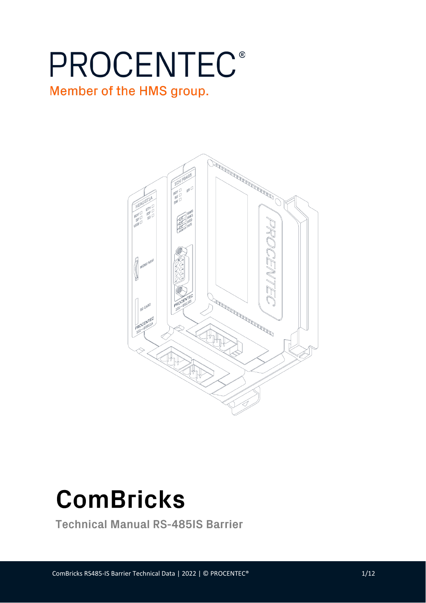# **PROCENTEC®** Member of the HMS group.





**Technical Manual RS-485IS Barrier**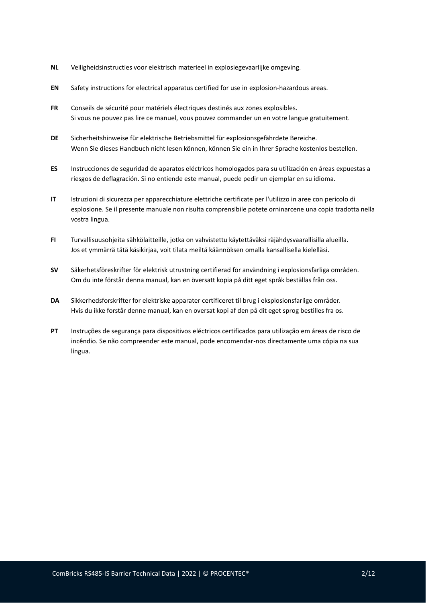- **NL** Veiligheidsinstructies voor elektrisch materieel in explosiegevaarlijke omgeving.
- **EN** Safety instructions for electrical apparatus certified for use in explosion-hazardous areas.
- **FR** Conseils de sécurité pour matériels électriques destinés aux zones explosibles. Si vous ne pouvez pas lire ce manuel, vous pouvez commander un en votre langue gratuitement.
- **DE** Sicherheitshinweise für elektrische Betriebsmittel für explosionsgefährdete Bereiche. Wenn Sie dieses Handbuch nicht lesen können, können Sie ein in Ihrer Sprache kostenlos bestellen.
- **ES** Instrucciones de seguridad de aparatos eléctricos homologados para su utilización en áreas expuestas a riesgos de deflagración. Si no entiende este manual, puede pedir un ejemplar en su idioma.
- **IT** Istruzioni di sicurezza per apparecchiature elettriche certificate per l'utilizzo in aree con pericolo di esplosione. Se il presente manuale non risulta comprensibile potete orninarcene una copia tradotta nella vostra lingua.
- **FI** Turvallisuusohjeita sähkölaitteille, jotka on vahvistettu käytettäväksi räjähdysvaarallisilla alueilla. Jos et ymmärrä tätä käsikirjaa, voit tilata meiltä käännöksen omalla kansallisella kielelläsi.
- **SV** Säkerhetsföreskrifter för elektrisk utrustning certifierad för användning i explosionsfarliga områden. Om du inte förstår denna manual, kan en översatt kopia på ditt eget språk beställas från oss.
- **DA** Sikkerhedsforskrifter for elektriske apparater certificeret til brug i eksplosionsfarlige områder. Hvis du ikke forstår denne manual, kan en oversat kopi af den på dit eget sprog bestilles fra os.
- **PT** Instruções de segurança para dispositivos eléctricos certificados para utilização em áreas de risco de incêndio. Se não compreender este manual, pode encomendar-nos directamente uma cópia na sua língua.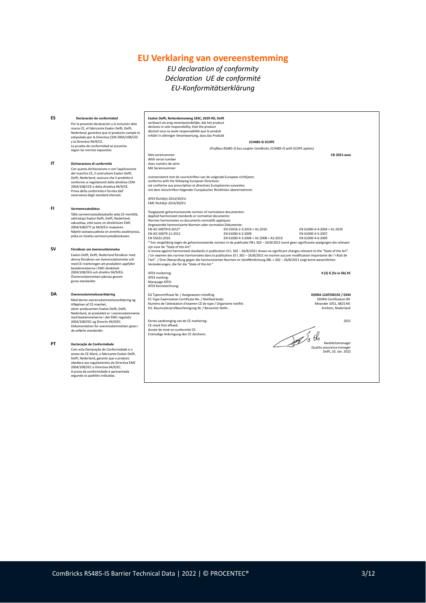# **EU Verklaring van overeenstemming**

## *EU declaration of conformity Déclaration UE de conformité EU-Konformitätserklärung*

| ES       | Declaración de conformidad<br>Por la presente declaración y la inclusión dela<br>marca CE, el fabricante Exalon Delft, Delft,<br>Nederland, garantiza que el producto cumple lo<br>estipulado por la Directiva CEM 2004/108/CEE<br>y la Directiva 94/9/CE.<br>La prueba de conformidad se presenta<br>según las normas expuestas.                                                                                                                                                                                                                                                                            | Exalon Delft, Rotterdamseweg 183C, 2629 HD, Delft<br>verklaart als enig verantwoordelijke, dat het product<br>declares in sole responsibility, that the product<br>déclaré sous sa seule responsabilité que le produit<br>erklärt in alleiniger Verantwortung, dass das Produkt<br>1CH485-IS SCOPE<br>(Profibus RS485-IS bus coupler ComBricks 1CH485-IS with SCOPE option)                                                                                                                                                                                                                                                                                                                                                                                                                                                                                                                                                                                                                                                                                                                                                                                             |                                                                                                                |
|----------|--------------------------------------------------------------------------------------------------------------------------------------------------------------------------------------------------------------------------------------------------------------------------------------------------------------------------------------------------------------------------------------------------------------------------------------------------------------------------------------------------------------------------------------------------------------------------------------------------------------|-------------------------------------------------------------------------------------------------------------------------------------------------------------------------------------------------------------------------------------------------------------------------------------------------------------------------------------------------------------------------------------------------------------------------------------------------------------------------------------------------------------------------------------------------------------------------------------------------------------------------------------------------------------------------------------------------------------------------------------------------------------------------------------------------------------------------------------------------------------------------------------------------------------------------------------------------------------------------------------------------------------------------------------------------------------------------------------------------------------------------------------------------------------------------|----------------------------------------------------------------------------------------------------------------|
| IT       | Dichiarazione di conformità<br>Con questa dichiarazione e con l'applicazione<br>del marchio CE, il costruttore Exalon Delft,<br>Delft, Nederland, assicura che il prodotto è<br>conforme ai regolamenti della direttiva CEM<br>2004/108/CEE e della direttiva 94/9/CE.<br>Prova della conformità è fornita dall'<br>osservanza degli standard elencati.                                                                                                                                                                                                                                                      | Met serienummer:<br>With serial number<br>Avec numéro de série<br>Mit Seriennummer<br>overeenstemt met de voorschriften van de volgende Europese richtlijnen:<br>conforms with the following European Directives:<br>est conforme aux prescription et directives Européennes suivantes:<br>mit dem Vorschriften folgender Europäischer Richtlinien übereinstimmt:<br>ATEX Richtlijn 2014/34/EU                                                                                                                                                                                                                                                                                                                                                                                                                                                                                                                                                                                                                                                                                                                                                                          | CB-2021-xxxx                                                                                                   |
| FI<br>sv | Varmennustodistus<br>Tällä varmennustodistuksella sekä CE-merkillä,<br>valmistaja Exalon Delft, Delft, Nederland,<br>vakuuttaa, että tuote on direktiivien EMC<br>2004/108/ETY ja 94/9/EU mukainen.<br>Näyttö vastaavuudesta on annettu asiakirjoissa,<br>jotka on listattu varmennustodistukseen.<br>Försäkran om överensstämmelse<br>Exalon Delft, Delft, Nederland försäkrar med<br>denna försäkran om överensstämmelse och<br>med CE-märkningen att produkten uppfyller<br>bestämmelserna i EMC-direktivet<br>2004/108/EEG och direktiv 94/9/EG.<br>Överensstämmelsen påvisas genom<br>givna standarder. | EMC Richtlijn 2014/30/EU<br>Toegepaste geharmoniseerde normen of normatieve documenten:<br>Applied harmonized standards or normative documents:<br>Normes harmonisées ou documents normatifs appliques<br>Angewandte harmonisierte Normen oder normative Dokumente:<br>EN-IEC 60079-0:2012*<br>EN 55016-2-3:2010 + A1:2010<br>EN-IEC 60079-11:2012<br>EN 61000-4-2:2009<br>EN 55022:2010<br>EN 61000-4-3:2006 + A1:2008 + A2:2010<br>* Een vergelijking tegen de geharmoniseerde normen in de publicatie PB L 302 - 26/8/2021 toont geen significante wijzigingen die relevant<br>zijn voor de "State of the Art".<br>A review against harmonized standards in publication OJ L 302 - 26/8/2021 shows no significant changes relevant to the "State of the Art".<br>/ Un examen des normes harmonisées dans la publication JO L 302 - 26/8/2021 ne montre aucune modification importante de l'«Etat de<br>l'Art". / Eine Überprüfung gegen die harmonisierten Normen im Veröffentlichung ABI. L 302 - 26/8/2021 zeigt keine wesentlichen<br>Veränderungen, die für die "State of the Art "<br>ATEX markering:<br>ATEX marking:<br>Marquage ATEX:<br>ATEX Kennzeichnung: | EN 61000-4-4:2004 + A1:2010<br>EN 61000-4-5:2007<br>EN 61000-4-6:2009<br>II (2) G [Ex ia Gb] IIC               |
| DA       | Overensstemmelseserklæring<br>Med denne overensstemmelseserklæring og<br>tilføjelsen af CE-mærket,<br>sikrer producenten Exalon Delft, Delft,<br>Nederland, at produktet er i overensstemmelse<br>med bestemmelserne i det EMC-regulativ<br>2004/108/EEC og Directiv 94/9/EC.<br>Dokumentation for overensstemmelsen gives i<br>de anførte standarder.                                                                                                                                                                                                                                                       | EG Typecertificaat Nr. / Aangewezen instelling<br>EC-Type Examination Certificate No. / Notified body:<br>Numéro de l'attestation d'examen CE de type / Organisme notifié:<br>EG-Baumusterprüfbescheinigung Nr. / Benannte Stelle.:<br>Eerste aanbrenging van de CE markering:<br>CE-mark first affixed:<br>Année de misé en conformité CE:<br>$\mathcal{A}$ oth<br>Erstmalige Anbringung des CE-Zeichens:                                                                                                                                                                                                                                                                                                                                                                                                                                                                                                                                                                                                                                                                                                                                                              | DEKRA 12ATEX0192 / 0344<br><b>DEKRA Certification BV</b><br>Meander 1051, 6825 MJ<br>Arnhem, Nederland<br>2021 |
| PT       | Declaração de Conformidade<br>Com esta Declaração de Conformidade e o<br>anexo do CE-Mark, o fabricante Exalon Delft,<br>Delft, Nederland, garante que o produto<br>obedece aos regulamentos da Directiva EMC<br>2004/108/EEC e Directiva 94/9/EC.<br>A prova da conformidade é apresentada<br>segundo os padrões indicadas.                                                                                                                                                                                                                                                                                 |                                                                                                                                                                                                                                                                                                                                                                                                                                                                                                                                                                                                                                                                                                                                                                                                                                                                                                                                                                                                                                                                                                                                                                         | Kwaliteitsmanager<br>Quality assurance manager<br>Delft, 10. Jan. 2022                                         |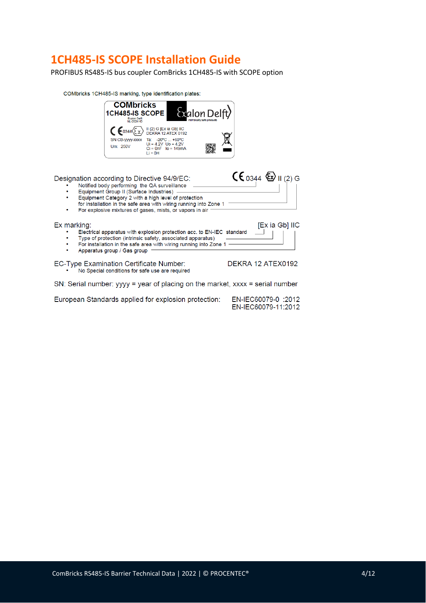# **1CH485-IS SCOPE Installation Guide**

PROFIBUS RS485-IS bus coupler ComBricks 1CH485-IS with SCOPE option

COMbricks 1CH485-IS marking, type identification plates:



European Standards applied for explosion protection:

EN-IEC60079-0 :2012 EN-IEC60079-11:2012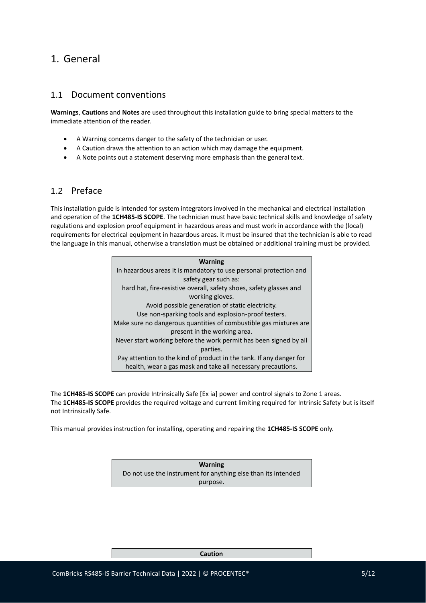## 1. General

### 1.1 Document conventions

**Warnings**, **Cautions** and **Notes** are used throughout this installation guide to bring special matters to the immediate attention of the reader.

- A Warning concerns danger to the safety of the technician or user.
- A Caution draws the attention to an action which may damage the equipment.
- A Note points out a statement deserving more emphasis than the general text.

## 1.2 Preface

This installation guide is intended for system integrators involved in the mechanical and electrical installation and operation of the **1CH485-IS SCOPE**. The technician must have basic technical skills and knowledge of safety regulations and explosion proof equipment in hazardous areas and must work in accordance with the (local) requirements for electrical equipment in hazardous areas. It must be insured that the technician is able to read the language in this manual, otherwise a translation must be obtained or additional training must be provided.

| <b>Warning</b>                                                      |
|---------------------------------------------------------------------|
| In hazardous areas it is mandatory to use personal protection and   |
| safety gear such as:                                                |
| hard hat, fire-resistive overall, safety shoes, safety glasses and  |
| working gloves.                                                     |
| Avoid possible generation of static electricity.                    |
| Use non-sparking tools and explosion-proof testers.                 |
| Make sure no dangerous quantities of combustible gas mixtures are   |
| present in the working area.                                        |
| Never start working before the work permit has been signed by all   |
| parties.                                                            |
| Pay attention to the kind of product in the tank. If any danger for |
| health, wear a gas mask and take all necessary precautions.         |

The **1CH485-IS SCOPE** can provide Intrinsically Safe [Ex ia] power and control signals to Zone 1 areas. The **1CH485-IS SCOPE** provides the required voltage and current limiting required for Intrinsic Safety but is itself not Intrinsically Safe.

This manual provides instruction for installing, operating and repairing the **1CH485-IS SCOPE** only.

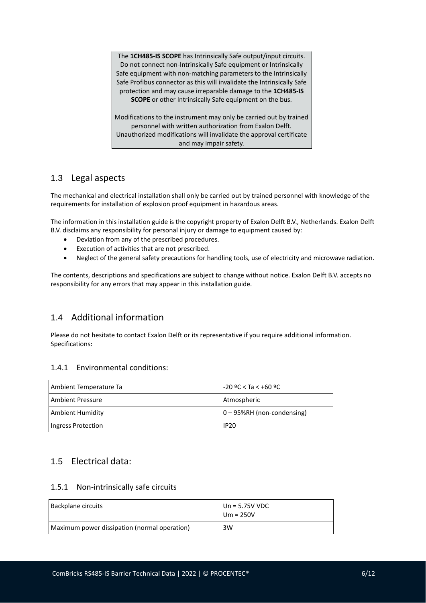The **1CH485-IS SCOPE** has Intrinsically Safe output/input circuits. Do not connect non-Intrinsically Safe equipment or Intrinsically Safe equipment with non-matching parameters to the Intrinsically Safe Profibus connector as this will invalidate the Intrinsically Safe protection and may cause irreparable damage to the **1CH485-IS SCOPE** or other Intrinsically Safe equipment on the bus.

Modifications to the instrument may only be carried out by trained personnel with written authorization from Exalon Delft. Unauthorized modifications will invalidate the approval certificate and may impair safety.

## 1.3 Legal aspects

The mechanical and electrical installation shall only be carried out by trained personnel with knowledge of the requirements for installation of explosion proof equipment in hazardous areas.

The information in this installation guide is the copyright property of Exalon Delft B.V., Netherlands. Exalon Delft B.V. disclaims any responsibility for personal injury or damage to equipment caused by:

- Deviation from any of the prescribed procedures.
- Execution of activities that are not prescribed.
- Neglect of the general safety precautions for handling tools, use of electricity and microwave radiation.

The contents, descriptions and specifications are subject to change without notice. Exalon Delft B.V. accepts no responsibility for any errors that may appear in this installation guide.

## 1.4 Additional information

Please do not hesitate to contact Exalon Delft or its representative if you require additional information. Specifications:

#### 1.4.1 Environmental conditions:

| Ambient Temperature Ta  | l -20 °C < Ta < +60 °C         |
|-------------------------|--------------------------------|
| <b>Ambient Pressure</b> | Atmospheric                    |
| Ambient Humidity        | $ 0 - 95\%RH$ (non-condensing) |
| Ingress Protection      | <b>IP20</b>                    |

## 1.5 Electrical data:

#### 1.5.1 Non-intrinsically safe circuits

| Backplane circuits                           | $ Un = 5.75V VDC$<br>$Um = 250V$ |
|----------------------------------------------|----------------------------------|
| Maximum power dissipation (normal operation) | 3W                               |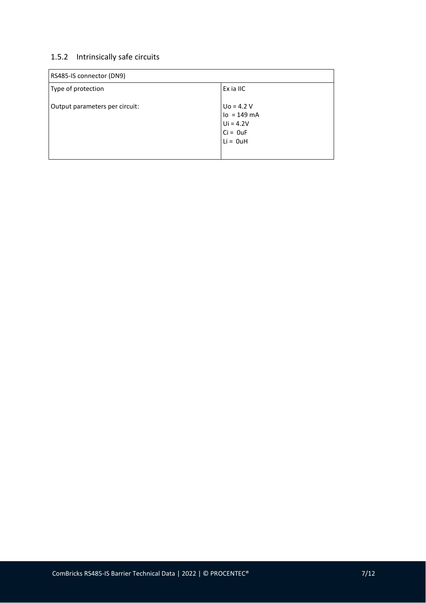## 1.5.2 Intrinsically safe circuits

| RS485-IS connector (DN9)       |                                                                           |  |
|--------------------------------|---------------------------------------------------------------------------|--|
| Type of protection             | Ex ia IIC                                                                 |  |
| Output parameters per circuit: | $U_0 = 4.2 V$<br>$lo = 149 mA$<br>$Ui = 4.2V$<br>$Ci = 0uF$<br>$Li = 0uH$ |  |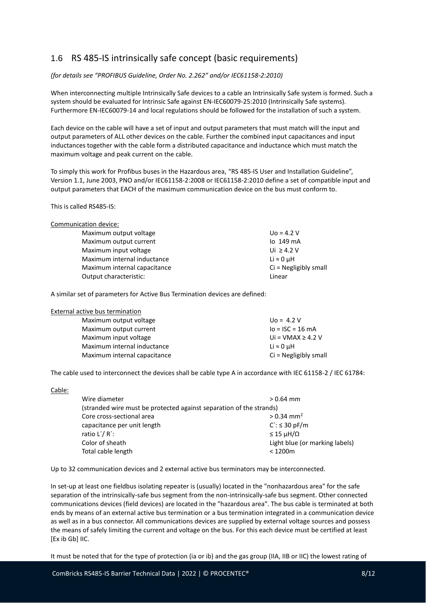# 1.6 RS 485-IS intrinsically safe concept (basic requirements)

*(for details see "PROFIBUS Guideline, Order No. 2.262" and/or IEC61158-2:2010)*

When interconnecting multiple Intrinsically Safe devices to a cable an Intrinsically Safe system is formed. Such a system should be evaluated for Intrinsic Safe against EN-IEC60079-25:2010 (Intrinsically Safe systems). Furthermore EN-IEC60079-14 and local regulations should be followed for the installation of such a system.

Each device on the cable will have a set of input and output parameters that must match will the input and output parameters of ALL other devices on the cable. Further the combined input capacitances and input inductances together with the cable form a distributed capacitance and inductance which must match the maximum voltage and peak current on the cable.

To simply this work for Profibus buses in the Hazardous area, "RS 485-IS User and Installation Guideline", Version 1.1, June 2003, PNO and/or IEC61158-2:2008 or IEC61158-2:2010 define a set of compatible input and output parameters that EACH of the maximum communication device on the bus must conform to.

This is called RS485-IS:

| Communication device: |
|-----------------------|
|-----------------------|

| Maximum output voltage       | $U_0 = 4.2 V$           |
|------------------------------|-------------------------|
| Maximum output current       | $10.149 \text{ mA}$     |
| Maximum input voltage        | Ui $\geq 4.2$ V         |
| Maximum internal inductance  | Li $\approx$ 0 uH       |
| Maximum internal capacitance | $Ci = Negligibly small$ |
| Output characteristic:       | Linear                  |
|                              |                         |

A similar set of parameters for Active Bus Termination devices are defined:

| External active bus termination |  |  |
|---------------------------------|--|--|
|                                 |  |  |

| Maximum output voltage       | $U_0 = 4.2 V$          |
|------------------------------|------------------------|
| Maximum output current       | $I_0 = ISC = 16 mA$    |
| Maximum input voltage        | Ui = $VMAX \geq 4.2$ V |
| Maximum internal inductance  | Li $\approx$ 0 uH      |
| Maximum internal capacitance | Ci = Negligibly small  |
|                              |                        |

The cable used to interconnect the devices shall be cable type A in accordance with IEC 61158-2 / IEC 61784:

| Cable:                                                              |                                |
|---------------------------------------------------------------------|--------------------------------|
| Wire diameter                                                       | $> 0.64$ mm                    |
| (stranded wire must be protected against separation of the strands) |                                |
| Core cross-sectional area                                           | $> 0.34$ mm <sup>2</sup>       |
| capacitance per unit length                                         | $C'$ : $\leq$ 30 pF/m          |
| ratio $L'/R'$ :                                                     | $\leq$ 15 $\mu$ H/ $\Omega$    |
| Color of sheath                                                     | Light blue (or marking labels) |
| Total cable length                                                  | $<$ 1200 $m$                   |

Up to 32 communication devices and 2 external active bus terminators may be interconnected.

In set-up at least one fieldbus isolating repeater is (usually) located in the "nonhazardous area" for the safe separation of the intrinsically-safe bus segment from the non-intrinsically-safe bus segment. Other connected communications devices (field devices) are located in the "hazardous area". The bus cable is terminated at both ends by means of an external active bus termination or a bus termination integrated in a communication device as well as in a bus connector. All communications devices are supplied by external voltage sources and possess the means of safely limiting the current and voltage on the bus. For this each device must be certified at least [Ex ib Gb] IIC.

It must be noted that for the type of protection (ia or ib) and the gas group (IIA, IIB or IIC) the lowest rating of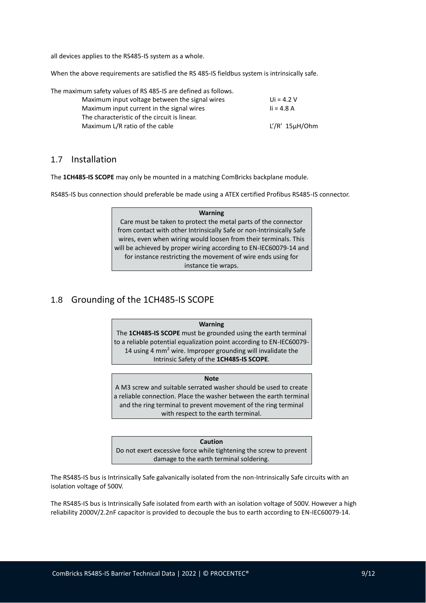all devices applies to the RS485-IS system as a whole.

When the above requirements are satisfied the RS 485-IS fieldbus system is intrinsically safe.

The maximum safety values of RS 485-IS are defined as follows.

| Maximum input voltage between the signal wires | Ui = $4.2$ V           |
|------------------------------------------------|------------------------|
| Maximum input current in the signal wires      | $i = 4.8 A$            |
| The characteristic of the circuit is linear.   |                        |
| Maximum L/R ratio of the cable                 | $L'/R'$ 15 $\mu$ H/Ohm |

#### 1.7 Installation

The **1CH485-IS SCOPE** may only be mounted in a matching ComBricks backplane module.

RS485-IS bus connection should preferable be made using a ATEX certified Profibus RS485-IS connector.

#### **Warning** Care must be taken to protect the metal parts of the connector from contact with other Intrinsically Safe or non-Intrinsically Safe wires, even when wiring would loosen from their terminals. This will be achieved by proper wiring according to EN-IEC60079-14 and for instance restricting the movement of wire ends using for instance tie wraps.

## 1.8 Grounding of the 1CH485-IS SCOPE

#### **Warning**

The **1CH485-IS SCOPE** must be grounded using the earth terminal to a reliable potential equalization point according to EN-IEC60079- 14 using 4 mm<sup>2</sup> wire. Improper grounding will invalidate the Intrinsic Safety of the **1CH485-IS SCOPE**.

#### **Note**

A M3 screw and suitable serrated washer should be used to create a reliable connection. Place the washer between the earth terminal and the ring terminal to prevent movement of the ring terminal with respect to the earth terminal.

#### **Caution**

Do not exert excessive force while tightening the screw to prevent damage to the earth terminal soldering.

The RS485-IS bus is Intrinsically Safe galvanically isolated from the non-Intrinsically Safe circuits with an isolation voltage of 500V.

The RS485-IS bus is Intrinsically Safe isolated from earth with an isolation voltage of 500V. However a high reliability 2000V/2.2nF capacitor is provided to decouple the bus to earth according to EN-IEC60079-14.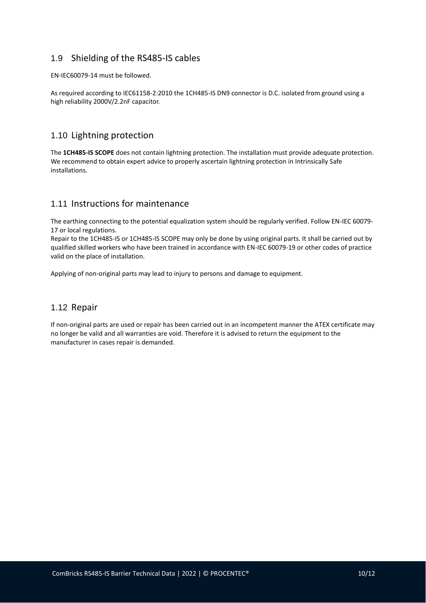## 1.9 Shielding of the RS485-IS cables

EN-IEC60079-14 must be followed.

As required according to IEC61158-2:2010 the 1CH485-IS DN9 connector is D.C. isolated from ground using a high reliability 2000V/2.2nF capacitor.

## 1.10 Lightning protection

The **1CH485-IS SCOPE** does not contain lightning protection. The installation must provide adequate protection. We recommend to obtain expert advice to properly ascertain lightning protection in Intrinsically Safe installations.

## 1.11 Instructions for maintenance

The earthing connecting to the potential equalization system should be regularly verified. Follow EN-IEC 60079- 17 or local regulations.

Repair to the 1CH485-IS or 1CH485-IS SCOPE may only be done by using original parts. It shall be carried out by qualified skilled workers who have been trained in accordance with EN-IEC 60079-19 or other codes of practice valid on the place of installation.

Applying of non-original parts may lead to injury to persons and damage to equipment.

## 1.12 Repair

If non-original parts are used or repair has been carried out in an incompetent manner the ATEX certificate may no longer be valid and all warranties are void. Therefore it is advised to return the equipment to the manufacturer in cases repair is demanded.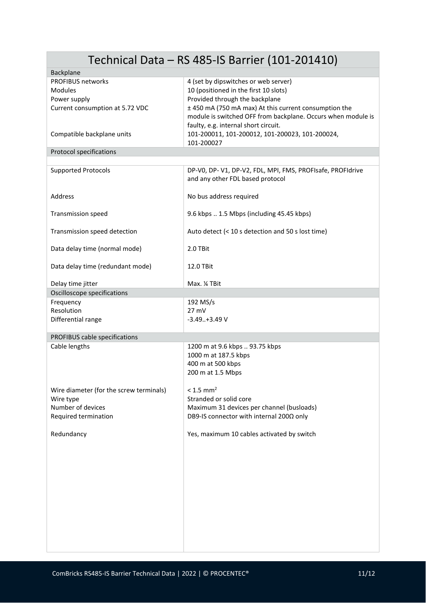| Technical Data - RS 485-IS Barrier (101-201410) |                                                              |  |
|-------------------------------------------------|--------------------------------------------------------------|--|
| Backplane                                       |                                                              |  |
| <b>PROFIBUS networks</b>                        | 4 (set by dipswitches or web server)                         |  |
| <b>Modules</b>                                  | 10 (positioned in the first 10 slots)                        |  |
| Power supply                                    | Provided through the backplane                               |  |
|                                                 |                                                              |  |
| Current consumption at 5.72 VDC                 | ± 450 mA (750 mA max) At this current consumption the        |  |
|                                                 | module is switched OFF from backplane. Occurs when module is |  |
|                                                 | faulty, e.g. internal short circuit.                         |  |
| Compatible backplane units                      | 101-200011, 101-200012, 101-200023, 101-200024,              |  |
|                                                 | 101-200027                                                   |  |
|                                                 |                                                              |  |
| <b>Protocol specifications</b>                  |                                                              |  |
| <b>Supported Protocols</b>                      | DP-V0, DP-V1, DP-V2, FDL, MPI, FMS, PROFIsafe, PROFIdrive    |  |
|                                                 |                                                              |  |
|                                                 | and any other FDL based protocol                             |  |
|                                                 |                                                              |  |
| Address                                         | No bus address required                                      |  |
|                                                 |                                                              |  |
| <b>Transmission speed</b>                       | 9.6 kbps  1.5 Mbps (including 45.45 kbps)                    |  |
|                                                 |                                                              |  |
|                                                 |                                                              |  |
| Transmission speed detection                    | Auto detect (< 10 s detection and 50 s lost time)            |  |
|                                                 |                                                              |  |
| Data delay time (normal mode)                   | 2.0 TBit                                                     |  |
|                                                 |                                                              |  |
| Data delay time (redundant mode)                | 12.0 TBit                                                    |  |
|                                                 |                                                              |  |
|                                                 |                                                              |  |
| Delay time jitter                               | Max. 14 TBit                                                 |  |
| Oscilloscope specifications                     |                                                              |  |
| Frequency                                       | 192 MS/s                                                     |  |
| Resolution                                      | $27$ mV                                                      |  |
| Differential range                              | $-3.49+3.49V$                                                |  |
|                                                 |                                                              |  |
|                                                 |                                                              |  |
| PROFIBUS cable specifications                   |                                                              |  |
| Cable lengths                                   | 1200 m at 9.6 kbps  93.75 kbps                               |  |
|                                                 | 1000 m at 187.5 kbps                                         |  |
|                                                 | 400 m at 500 kbps                                            |  |
|                                                 | 200 m at 1.5 Mbps                                            |  |
|                                                 |                                                              |  |
|                                                 |                                                              |  |
| Wire diameter (for the screw terminals)         | $< 1.5$ mm <sup>2</sup>                                      |  |
| Wire type                                       | Stranded or solid core                                       |  |
| Number of devices                               | Maximum 31 devices per channel (busloads)                    |  |
| Required termination                            | DB9-IS connector with internal 200Ω only                     |  |
|                                                 |                                                              |  |
|                                                 | Yes, maximum 10 cables activated by switch                   |  |
| Redundancy                                      |                                                              |  |
|                                                 |                                                              |  |
|                                                 |                                                              |  |
|                                                 |                                                              |  |
|                                                 |                                                              |  |
|                                                 |                                                              |  |
|                                                 |                                                              |  |
|                                                 |                                                              |  |
|                                                 |                                                              |  |
|                                                 |                                                              |  |
|                                                 |                                                              |  |
|                                                 |                                                              |  |
|                                                 |                                                              |  |
|                                                 |                                                              |  |
|                                                 |                                                              |  |
|                                                 |                                                              |  |